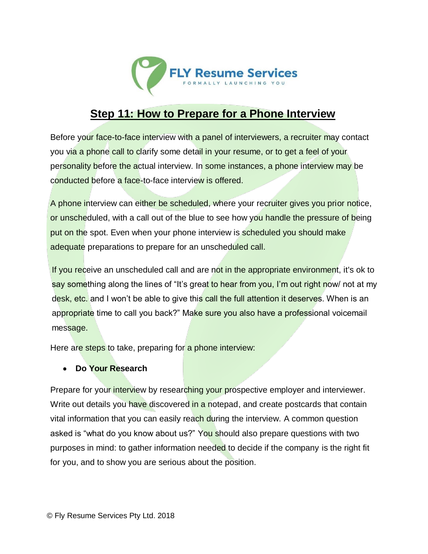

## **Step 11: How to Prepare for a Phone Interview**

Before your face-to-face interview with a panel of interviewers, a recruiter may contact you via a phone call to clarify some detail in your resume, or to get a feel of your personality before the actual interview. In some instances, a phone interview may be conducted before a face-to-face interview is offered.

A phone interview can either be scheduled, where your recruiter gives you prior notice, or unscheduled, with a call out of the blue to see how you handle the pressure of being put on the spot. Even when your phone interview is scheduled you should make adequate preparations to prepare for an unscheduled call.

If you receive an unscheduled call and are not in the appropriate environment, it's ok to say something along the lines of "It's great to hear from you, I'm out right now/ not at my desk, etc. and I won't be able to give this call the full attention it deserves. When is an appropriate time to call you back?" Make sure you also have a professional voicemail message.

Here are steps to take, preparing for a phone interview:

## **Do Your Research**

Prepare for your interview by researching your prospective employer and interviewer. Write out details you have discovered in a notepad, and create postcards that contain vital information that you can easily reach during the interview. A common question asked is "what do you know about us?" You should also prepare questions with two purposes in mind: to gather information needed to decide if the company is the right fit for you, and to show you are serious about the position.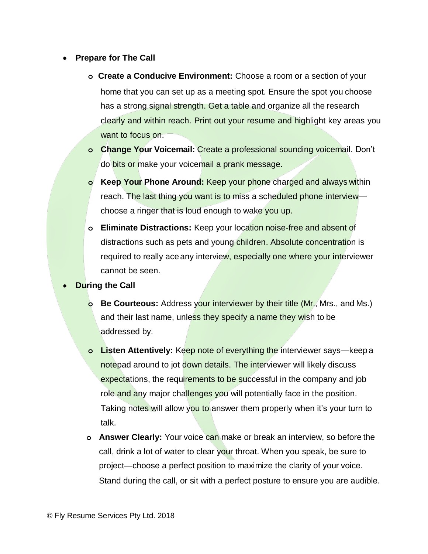## **Prepare for The Call**

- **o Create a Conducive Environment:** Choose a room or a section of your home that you can set up as a meeting spot. Ensure the spot you choose has a strong signal strength. Get a table and organize all the research clearly and within reach. Print out your resume and highlight key areas you want to focus on.
- **o Change Your Voicemail:** Create a professional sounding voicemail. Don't do bits or make your voicemail a prank message.
- **o Keep Your Phone Around:** Keep your phone charged and always within reach. The last thing you want is to miss a scheduled phone interview choose a ringer that is loud enough to wake you up.
- **o Eliminate Distractions:** Keep your location noise-free and absent of distractions such as pets and young children. Absolute concentration is required to really ace any interview, especially one where your interviewer cannot be seen.
- **During the Call**
	- **o Be Courteous:** Address your interviewer by their title (Mr., Mrs., and Ms.) and their last name, unless they specify a name they wish to be addressed by.
	- **o Listen Attentively:** Keep note of everything the interviewer says—keep a notepad around to jot down details. The interviewer will likely discuss expectations, the requirements to be successful in the company and job role and any major challenges you will potentially face in the position. Taking notes will allow you to answer them properly when it's your turn to talk.
	- **o Answer Clearly:** Your voice can make or break an interview, so before the call, drink a lot of water to clear your throat. When you speak, be sure to project—choose a perfect position to maximize the clarity of your voice. Stand during the call, or sit with a perfect posture to ensure you are audible.